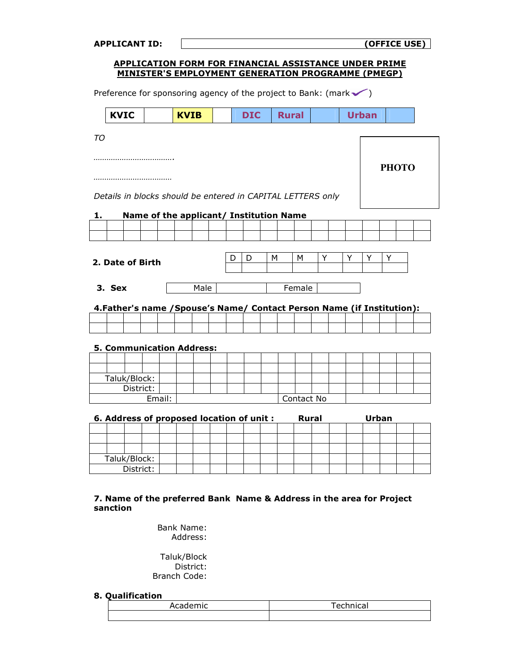| <b>APPLICANT ID:</b>                                                                                               |        |             |   |            |   |              |              |   |   |              | (OFFICE USE) |  |
|--------------------------------------------------------------------------------------------------------------------|--------|-------------|---|------------|---|--------------|--------------|---|---|--------------|--------------|--|
| <b>APPLICATION FORM FOR FINANCIAL ASSISTANCE UNDER PRIME</b><br>MINISTER'S EMPLOYMENT GENERATION PROGRAMME (PMEGP) |        |             |   |            |   |              |              |   |   |              |              |  |
|                                                                                                                    |        |             |   |            |   |              |              |   |   |              |              |  |
| Preference for sponsoring agency of the project to Bank: (mark $\checkmark$ )                                      |        |             |   |            |   |              |              |   |   |              |              |  |
| <b>KVIC</b>                                                                                                        |        | <b>KVIB</b> |   | <b>DIC</b> |   | <b>Rural</b> |              |   |   | <b>Urban</b> |              |  |
| TО                                                                                                                 |        |             |   |            |   |              |              |   |   |              |              |  |
|                                                                                                                    |        |             |   |            |   |              |              |   |   |              |              |  |
|                                                                                                                    |        |             |   |            |   |              |              |   |   |              | <b>PHOTO</b> |  |
|                                                                                                                    |        |             |   |            |   |              |              |   |   |              |              |  |
|                                                                                                                    |        |             |   |            |   |              |              |   |   |              |              |  |
| Details in blocks should be entered in CAPITAL LETTERS only                                                        |        |             |   |            |   |              |              |   |   |              |              |  |
| <b>Name of the applicant/ Institution Name</b><br>1.                                                               |        |             |   |            |   |              |              |   |   |              |              |  |
|                                                                                                                    |        |             |   |            |   |              |              |   |   |              |              |  |
|                                                                                                                    |        |             |   |            |   |              |              |   |   |              |              |  |
|                                                                                                                    |        |             | D | D          | м |              | м            | Y | Y | Y            | Y            |  |
| 2. Date of Birth                                                                                                   |        |             |   |            |   |              |              |   |   |              |              |  |
|                                                                                                                    |        |             |   |            |   |              |              |   |   |              |              |  |
| 3. Sex                                                                                                             |        | Male        |   |            |   |              | Female       |   |   |              |              |  |
| 4. Father's name / Spouse's Name/ Contact Person Name (if Institution):                                            |        |             |   |            |   |              |              |   |   |              |              |  |
|                                                                                                                    |        |             |   |            |   |              |              |   |   |              |              |  |
|                                                                                                                    |        |             |   |            |   |              |              |   |   |              |              |  |
| <b>5. Communication Address:</b>                                                                                   |        |             |   |            |   |              |              |   |   |              |              |  |
|                                                                                                                    |        |             |   |            |   |              |              |   |   |              |              |  |
|                                                                                                                    |        |             |   |            |   |              |              |   |   |              |              |  |
| Taluk/Block:                                                                                                       |        |             |   |            |   |              |              |   |   |              |              |  |
| District:                                                                                                          | Email: |             |   |            |   |              |              |   |   |              |              |  |
|                                                                                                                    |        |             |   |            |   |              | Contact No   |   |   |              |              |  |
| 6. Address of proposed location of unit :                                                                          |        |             |   |            |   |              | <b>Rural</b> |   |   | <b>Urban</b> |              |  |
|                                                                                                                    |        |             |   |            |   |              |              |   |   |              |              |  |
|                                                                                                                    |        |             |   |            |   |              |              |   |   |              |              |  |
| Taluk/Block:                                                                                                       |        |             |   |            |   |              |              |   |   |              |              |  |
| District:                                                                                                          |        |             |   |            |   |              |              |   |   |              |              |  |
|                                                                                                                    |        |             |   |            |   |              |              |   |   |              |              |  |

## 7. Name of the preferred Bank Name & Address in the area for Project sanction

Bank Name: Address:

Taluk/Block District: Branch Code:

## 8. Qualification

| Academic | Technical<br>-- |
|----------|-----------------|
|          |                 |